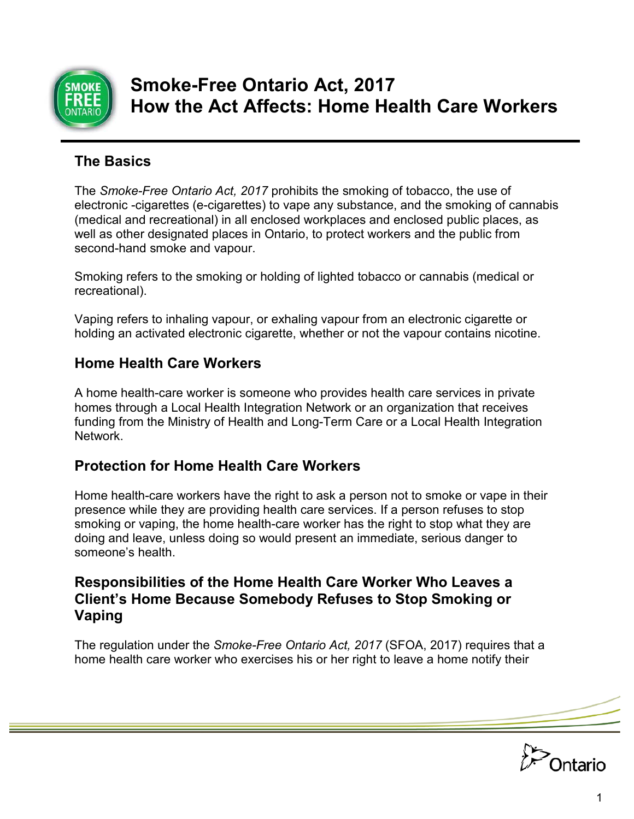

# **Smoke-Free Ontario Act, 2017 How the Act Affects: Home Health Care Workers**

# **The Basics**

The *Smoke-Free Ontario Act, 2017* prohibits the smoking of tobacco, the use of electronic -cigarettes (e-cigarettes) to vape any substance, and the smoking of cannabis (medical and recreational) in all enclosed workplaces and enclosed public places, as well as other designated places in Ontario, to protect workers and the public from second-hand smoke and vapour.

Smoking refers to the smoking or holding of lighted tobacco or cannabis (medical or recreational).

Vaping refers to inhaling vapour, or exhaling vapour from an electronic cigarette or holding an activated electronic cigarette, whether or not the vapour contains nicotine.

# **Home Health Care Workers**

A home health-care worker is someone who provides health care services in private homes through a Local Health Integration Network or an organization that receives funding from the Ministry of Health and Long-Term Care or a Local Health Integration Network.

## **Protection for Home Health Care Workers**

Home health-care workers have the right to ask a person not to smoke or vape in their presence while they are providing health care services. If a person refuses to stop smoking or vaping, the home health-care worker has the right to stop what they are doing and leave, unless doing so would present an immediate, serious danger to someone's health.

### **Responsibilities of the Home Health Care Worker Who Leaves a Client's Home Because Somebody Refuses to Stop Smoking or Vaping**

The regulation under the *Smoke-Free Ontario Act, 2017* (SFOA, 2017) requires that a home health care worker who exercises his or her right to leave a home notify their

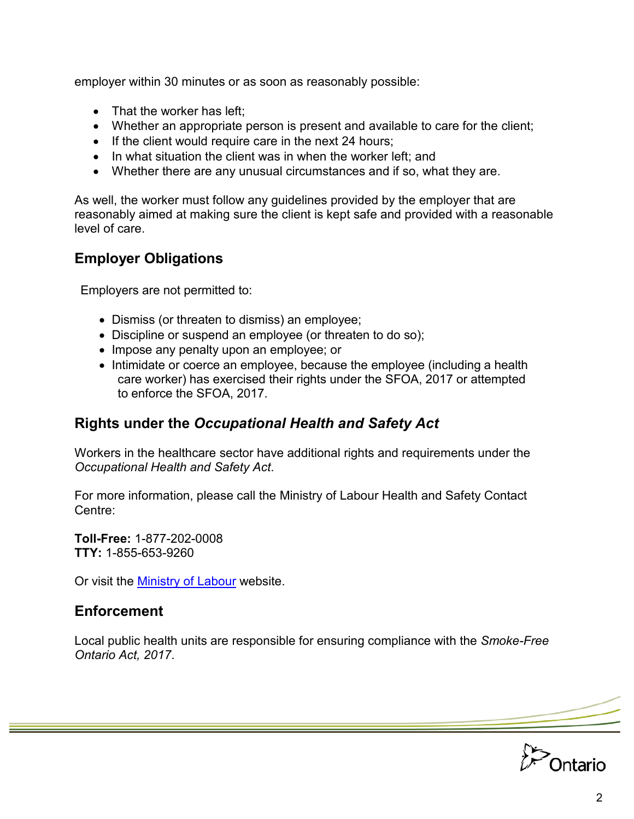employer within 30 minutes or as soon as reasonably possible:

- That the worker has left;
- Whether an appropriate person is present and available to care for the client;
- If the client would require care in the next 24 hours;
- In what situation the client was in when the worker left: and
- Whether there are any unusual circumstances and if so, what they are.

As well, the worker must follow any guidelines provided by the employer that are reasonably aimed at making sure the client is kept safe and provided with a reasonable level of care.

### **Employer Obligations**

Employers are not permitted to:

- Dismiss (or threaten to dismiss) an employee;
- Discipline or suspend an employee (or threaten to do so);
- Impose any penalty upon an employee; or
- Intimidate or coerce an employee, because the employee (including a health care worker) has exercised their rights under the SFOA, 2017 or attempted to enforce the SFOA, 2017.

#### **Rights under the** *Occupational Health and Safety Act*

Workers in the healthcare sector have additional rights and requirements under the *Occupational Health and Safety Act*.

For more information, please call the Ministry of Labour Health and Safety Contact Centre:

**Toll-Free:** 1-877-202-0008 **TTY:** 1-855-653-9260

Or visit the [Ministry of Labour](http://www.labour.gov.on.ca/) website.

#### **Enforcement**

Local public health units are responsible for ensuring compliance with the *Smoke-Free Ontario Act, 2017*.